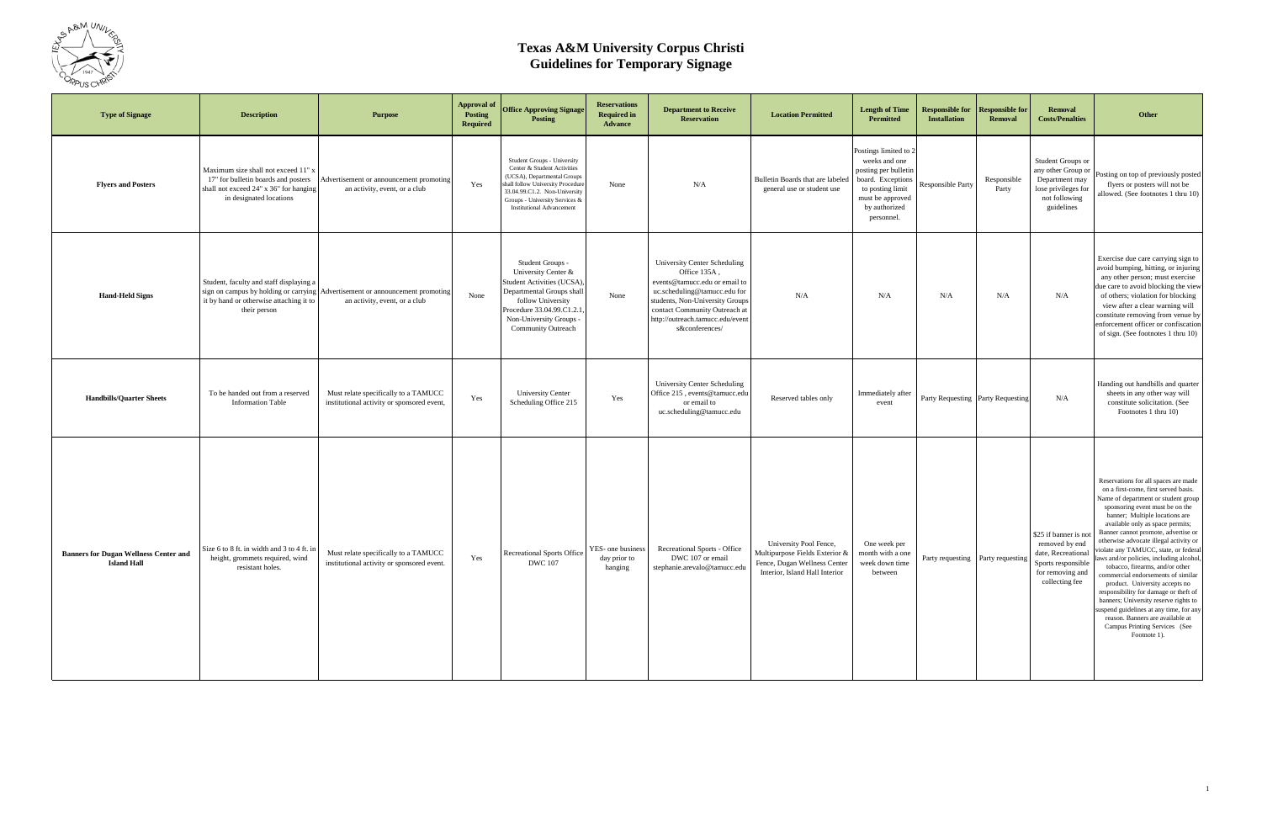

| <b>Type of Signage</b>                                             | <b>Description</b>                                                                                                                              | <b>Purpose</b>                                                                                                 | <b>Approval of</b><br>Posting<br>Required | <b>Office Approving Signage</b><br><b>Posting</b>                                                                                                                                                                                     | <b>Reservations</b><br><b>Required in</b><br><b>Advance</b> | <b>Department to Receive</b><br><b>Reservation</b>                                                                                                                                                                                      | <b>Location Permitted</b>                                                                                                  | <b>Length of Time</b><br>Permitted                                                                                                                         | <b>Responsible for</b><br><b>Installation</b> | <b>Responsible for</b><br><b>Removal</b> | <b>Removal</b><br><b>Costs/Penalties</b>                                                                        | Other                                                                                                                                                                                                                                                                                                                                                                                                                                                                                                                                                                                                                                                                                                                                             |
|--------------------------------------------------------------------|-------------------------------------------------------------------------------------------------------------------------------------------------|----------------------------------------------------------------------------------------------------------------|-------------------------------------------|---------------------------------------------------------------------------------------------------------------------------------------------------------------------------------------------------------------------------------------|-------------------------------------------------------------|-----------------------------------------------------------------------------------------------------------------------------------------------------------------------------------------------------------------------------------------|----------------------------------------------------------------------------------------------------------------------------|------------------------------------------------------------------------------------------------------------------------------------------------------------|-----------------------------------------------|------------------------------------------|-----------------------------------------------------------------------------------------------------------------|---------------------------------------------------------------------------------------------------------------------------------------------------------------------------------------------------------------------------------------------------------------------------------------------------------------------------------------------------------------------------------------------------------------------------------------------------------------------------------------------------------------------------------------------------------------------------------------------------------------------------------------------------------------------------------------------------------------------------------------------------|
| <b>Flyers and Posters</b>                                          | Maximum size shall not exceed 11" x<br>17" for bulletin boards and posters<br>shall not exceed 24" x 36" for hanging<br>in designated locations | Advertisement or announcement promoting<br>an activity, event, or a club                                       | Yes                                       | Student Groups - University<br>Center & Student Activities<br>(UCSA), Departmental Groups<br>shall follow University Procedure<br>33.04.99.C1.2. Non-University<br>Groups - University Services &<br><b>Institutional Advancement</b> | None                                                        | N/A                                                                                                                                                                                                                                     | Bulletin Boards that are labeled<br>general use or student use                                                             | Postings limited to 2<br>weeks and one<br>posting per bulletin<br>board. Exceptions<br>to posting limit<br>must be approved<br>by authorized<br>personnel. | <b>Responsible Party</b>                      | Responsible<br>Party                     | Student Groups or<br>any other Group or<br>Department may<br>lose privileges for<br>not following<br>guidelines | Posting on top of previously posted<br>flyers or posters will not be<br>allowed. (See footnotes 1 thru 10)                                                                                                                                                                                                                                                                                                                                                                                                                                                                                                                                                                                                                                        |
| <b>Hand-Held Signs</b>                                             | Student, faculty and staff displaying a<br>it by hand or otherwise attaching it to<br>their person                                              | sign on campus by holding or carrying Advertisement or announcement promoting<br>an activity, event, or a club | None                                      | Student Groups -<br>University Center &<br><b>Student Activities (UCSA)</b><br>Departmental Groups shall<br>follow University<br>Procedure 33.04.99.C1.2.1<br>Non-University Groups -<br>Community Outreach                           | None                                                        | University Center Scheduling<br>Office 135A,<br>events@tamucc.edu or email to<br>uc.scheduling@tamucc.edu for<br>students, Non-University Groups<br>contact Community Outreach at<br>http://outreach.tamucc.edu/event<br>s&conferences/ | N/A                                                                                                                        | N/A                                                                                                                                                        | N/A                                           | N/A                                      | N/A                                                                                                             | Exercise due care carrying sign to<br>avoid bumping, hitting, or injuring<br>any other person; must exercise<br>due care to avoid blocking the view<br>of others; violation for blocking<br>view after a clear warning will<br>constitute removing from venue by<br>enforcement officer or confiscation<br>of sign. (See footnotes 1 thru 10)                                                                                                                                                                                                                                                                                                                                                                                                     |
| <b>Handbills/Quarter Sheets</b>                                    | To be handed out from a reserved<br><b>Information Table</b>                                                                                    | Must relate specifically to a TAMUCC<br>institutional activity or sponsored event,                             | Yes                                       | <b>University Center</b><br>Scheduling Office 215                                                                                                                                                                                     | Yes                                                         | University Center Scheduling<br>Office 215, events@tamucc.edu<br>or email to<br>uc.scheduling@tamucc.edu                                                                                                                                | Reserved tables only                                                                                                       | Immediately after<br>event                                                                                                                                 | Party Requesting Party Requesting             |                                          | N/A                                                                                                             | Handing out handbills and quarter<br>sheets in any other way will<br>constitute solicitation. (See<br>Footnotes 1 thru 10)                                                                                                                                                                                                                                                                                                                                                                                                                                                                                                                                                                                                                        |
| <b>Banners for Dugan Wellness Center and</b><br><b>Island Hall</b> | Size 6 to 8 ft. in width and 3 to 4 ft. in<br>height, grommets required, wind<br>resistant holes.                                               | Must relate specifically to a TAMUCC<br>institutional activity or sponsored event.                             | Yes                                       | Recreational Sports Office<br><b>DWC</b> 107                                                                                                                                                                                          | YES- one business<br>day prior to<br>hanging                | Recreational Sports - Office<br>DWC 107 or email<br>stephanie.arevalo@tamucc.edu                                                                                                                                                        | University Pool Fence,<br>Multipurpose Fields Exterior &<br>Fence, Dugan Wellness Center<br>Interior, Island Hall Interior | One week per<br>month with a one<br>week down time<br>between                                                                                              |                                               | Party requesting Party requesting        | \$25 if banner is not<br>removed by end<br>Sports responsible<br>for removing and<br>collecting fee             | Reservations for all spaces are made<br>on a first-come, first served basis.<br>Name of department or student group<br>sponsoring event must be on the<br>banner; Multiple locations are<br>available only as space permits;<br>Banner cannot promote, advertise or<br>otherwise advocate illegal activity or<br>date, Recreational violate any TAMUCC, state, or federal<br>laws and/or policies, including alcohol.<br>tobacco, firearms, and/or other<br>commercial endorsements of similar<br>product. University accepts no<br>responsibility for damage or theft of<br>banners; University reserve rights to<br>uspend guidelines at any time, for any<br>reason. Banners are available at<br>Campus Printing Services (See<br>Footnote 1). |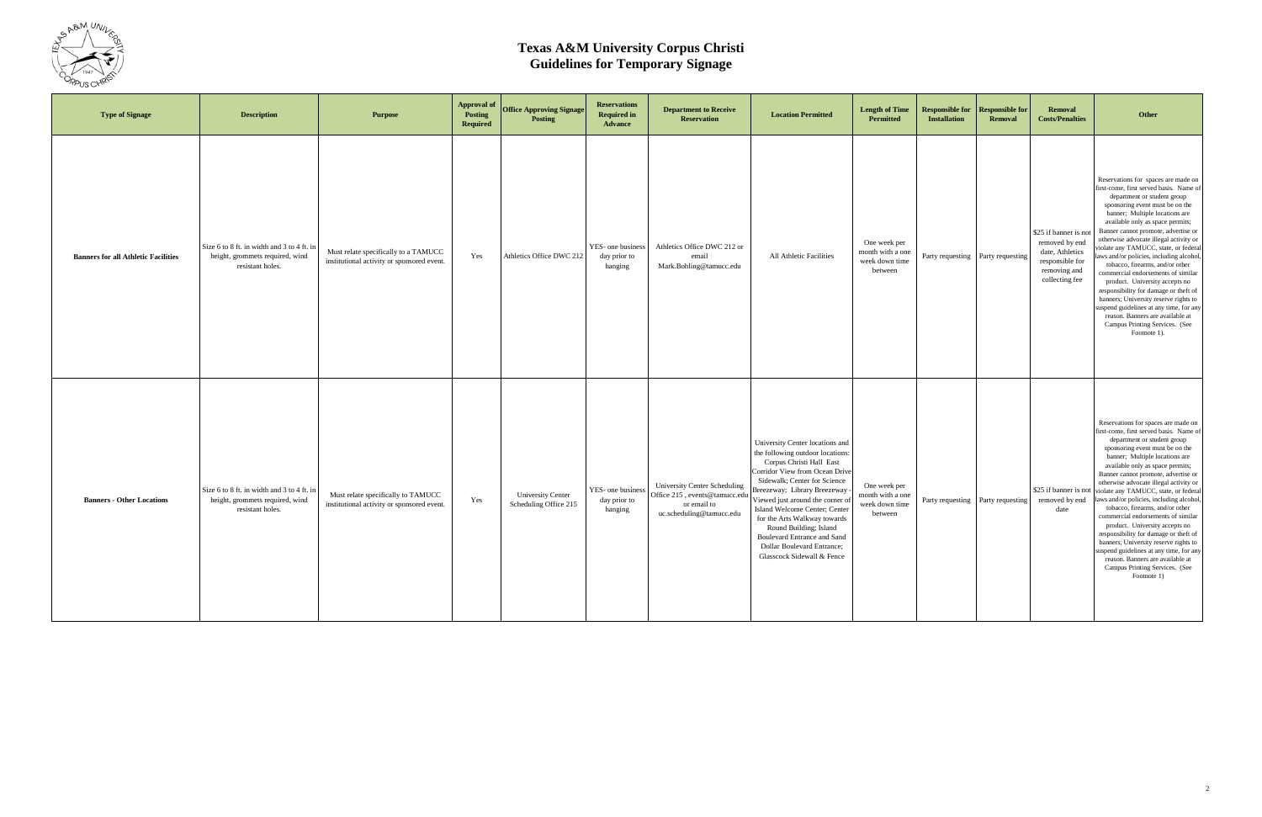

| <b>Type of Signage</b>                     | <b>Description</b>                                                                                | <b>Purpose</b>                                                                     | <b>Approval of</b><br>Posting<br><b>Required</b> | <b>Office Approving Signage</b><br><b>Posting</b> | <b>Reservations</b><br><b>Required in</b><br><b>Advance</b> | <b>Department to Receive</b><br><b>Reservation</b>                                                              | <b>Location Permitted</b>                                                                                                                                                                                                                                                                                                                                                                                                                 | <b>Length of Time</b><br><b>Permitted</b>                     | <b>Responsible for</b><br><b>Installation</b> | <b>Responsible for</b><br><b>Removal</b> | <b>Removal</b><br><b>Costs/Penalties</b>                                                                        | Other                                                                                                                                                                                                                                                                                                                                                                                                                                                                                                                                                                                                                                                                                                                      |
|--------------------------------------------|---------------------------------------------------------------------------------------------------|------------------------------------------------------------------------------------|--------------------------------------------------|---------------------------------------------------|-------------------------------------------------------------|-----------------------------------------------------------------------------------------------------------------|-------------------------------------------------------------------------------------------------------------------------------------------------------------------------------------------------------------------------------------------------------------------------------------------------------------------------------------------------------------------------------------------------------------------------------------------|---------------------------------------------------------------|-----------------------------------------------|------------------------------------------|-----------------------------------------------------------------------------------------------------------------|----------------------------------------------------------------------------------------------------------------------------------------------------------------------------------------------------------------------------------------------------------------------------------------------------------------------------------------------------------------------------------------------------------------------------------------------------------------------------------------------------------------------------------------------------------------------------------------------------------------------------------------------------------------------------------------------------------------------------|
| <b>Banners for all Athletic Facilities</b> | Size 6 to 8 ft. in width and 3 to 4 ft. in<br>height, grommets required, wind<br>resistant holes. | Must relate specifically to a TAMUCC<br>institutional activity or sponsored event. | Yes                                              | Athletics Office DWC 212                          | YES- one business<br>day prior to<br>hanging                | Athletics Office DWC 212 or<br>email<br>Mark.Bohling@tamucc.edu                                                 | All Athletic Facilities                                                                                                                                                                                                                                                                                                                                                                                                                   | One week per<br>month with a one<br>week down time<br>between | Party requesting Party requesting             |                                          | \$25 if banner is not<br>removed by end<br>date, Athletics<br>responsible for<br>removing and<br>collecting fee | Reservations for spaces are made on<br>first-come, first served basis. Name of<br>department or student group<br>sponsoring event must be on the<br>banner; Multiple locations are<br>available only as space permits;<br>Banner cannot promote, advertise or<br>otherwise advocate illegal activity or<br>violate any TAMUCC, state, or federal<br>laws and/or policies, including alcohol,<br>tobacco, firearms, and/or other<br>commercial endorsements of similar<br>product. University accepts no<br>responsibility for damage or theft of<br>banners; University reserve rights to<br>suspend guidelines at any time, for any<br>reason. Banners are available at<br>Campus Printing Services. (See<br>Footnote 1). |
| <b>Banners - Other Locations</b>           | Size 6 to 8 ft. in width and 3 to 4 ft. in<br>height, grommets required, wind<br>resistant holes. | Must relate specifically to TAMUCC<br>institutional activity or sponsored event.   | Yes                                              | <b>University Center</b><br>Scheduling Office 215 | YES- one business<br>day prior to<br>hanging                | <b>University Center Scheduling</b><br>Office 215, events@tamucc.edu<br>or email to<br>uc.scheduling@tamucc.edu | University Center locations and<br>the following outdoor locations:<br>Corpus Christi Hall East<br>Corridor View from Ocean Drive<br>Sidewalk; Center for Science<br>Breezeway; Library Breezeway<br>Viewed just around the corner of<br>Island Welcome Center; Center<br>for the Arts Walkway towards<br>Round Building; Island<br><b>Boulevard Entrance and Sand</b><br><b>Dollar Boulevard Entrance;</b><br>Glasscock Sidewall & Fence | One week per<br>month with a one<br>week down time<br>between | Party requesting Party requesting             |                                          | \$25 if banner is not<br>removed by end<br>date                                                                 | Reservations for spaces are made on<br>first-come, first served basis. Name of<br>department or student group<br>sponsoring event must be on the<br>banner; Multiple locations are<br>available only as space permits;<br>Banner cannot promote, advertise or<br>otherwise advocate illegal activity or<br>violate any TAMUCC, state, or federal<br>laws and/or policies, including alcohol,<br>tobacco, firearms, and/or other<br>commercial endorsements of similar<br>product. University accepts no<br>responsibility for damage or theft of<br>banners; University reserve rights to<br>suspend guidelines at any time, for any<br>reason. Banners are available at<br>Campus Printing Services. (See<br>Footnote 1)  |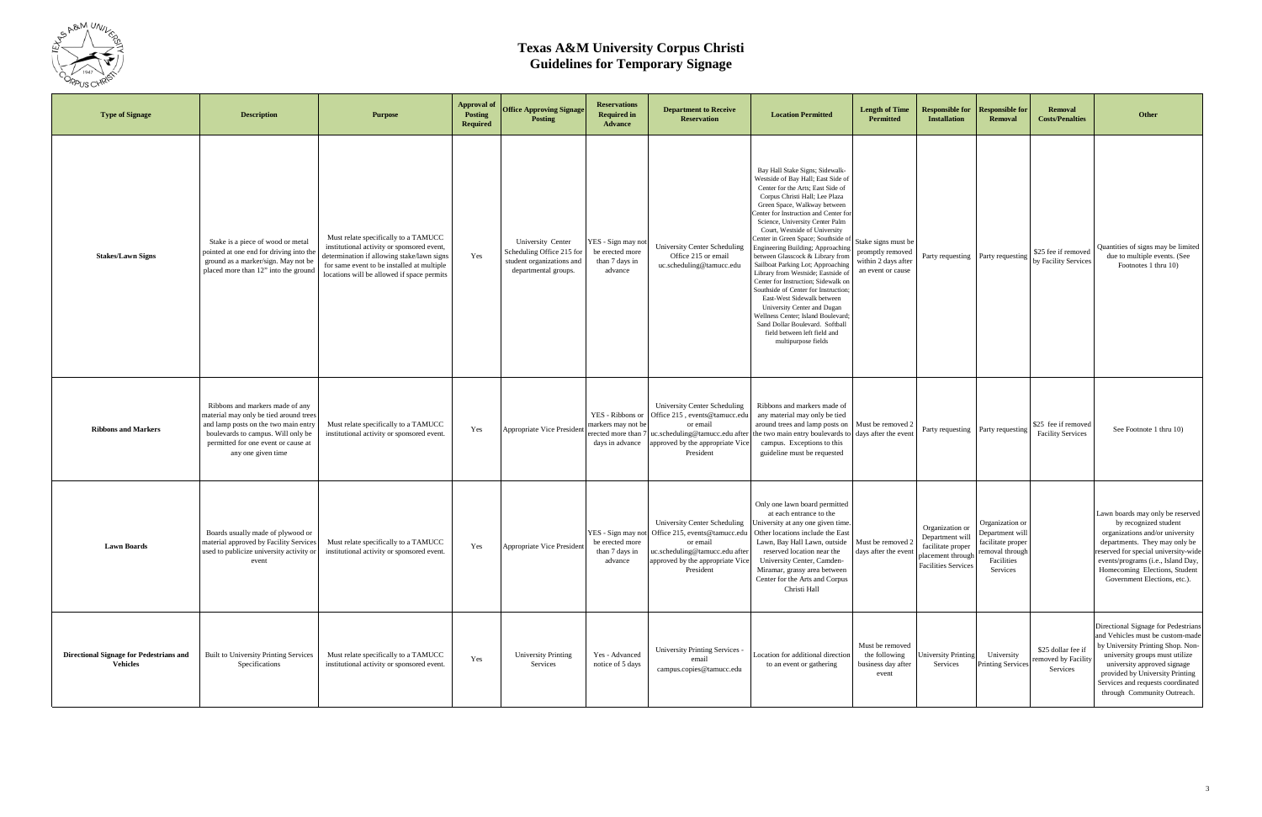

| <b>Type of Signage</b>                                            | <b>Description</b>                                                                                                                                                                                                   | <b>Purpose</b>                                                                                                                                                                                                               | <b>Approval of</b><br><b>Posting</b><br><b>Required</b> | <b>Office Approving Signage</b><br><b>Posting</b>                                                   | <b>Reservations</b><br><b>Required in</b><br><b>Advance</b>                    | <b>Department to Receive</b><br><b>Reservation</b>                                                                                                                  | <b>Location Permitted</b>                                                                                                                                                                                                                                                                                                                                                                                                                                                                                                                                                                                                                                                                                                                                     | <b>Length of Time</b><br>Permitted                                                  | <b>Responsible for</b><br><b>Installation</b>                                                              | <b>Responsible for</b><br><b>Removal</b>                                                             | <b>Removal</b><br><b>Costs/Penalties</b>              | Other                                                                                                                                                                                                                                                                                |
|-------------------------------------------------------------------|----------------------------------------------------------------------------------------------------------------------------------------------------------------------------------------------------------------------|------------------------------------------------------------------------------------------------------------------------------------------------------------------------------------------------------------------------------|---------------------------------------------------------|-----------------------------------------------------------------------------------------------------|--------------------------------------------------------------------------------|---------------------------------------------------------------------------------------------------------------------------------------------------------------------|---------------------------------------------------------------------------------------------------------------------------------------------------------------------------------------------------------------------------------------------------------------------------------------------------------------------------------------------------------------------------------------------------------------------------------------------------------------------------------------------------------------------------------------------------------------------------------------------------------------------------------------------------------------------------------------------------------------------------------------------------------------|-------------------------------------------------------------------------------------|------------------------------------------------------------------------------------------------------------|------------------------------------------------------------------------------------------------------|-------------------------------------------------------|--------------------------------------------------------------------------------------------------------------------------------------------------------------------------------------------------------------------------------------------------------------------------------------|
| <b>Stakes/Lawn Signs</b>                                          | Stake is a piece of wood or metal<br>pointed at one end for driving into the<br>ground as a marker/sign. May not be<br>placed more than 12" into the ground                                                          | Must relate specifically to a TAMUCC<br>institutional activity or sponsored event,<br>determination if allowing stake/lawn signs<br>for same event to be installed at multiple<br>locations will be allowed if space permits | Yes                                                     | University Center<br>Scheduling Office 215 for<br>student organizations and<br>departmental groups. | YES - Sign may not<br>be erected more<br>than 7 days in<br>advance             | University Center Scheduling<br>Office 215 or email<br>uc.scheduling@tamucc.edu                                                                                     | Bay Hall Stake Signs; Sidewalk-<br>Westside of Bay Hall; East Side o<br>Center for the Arts; East Side of<br>Corpus Christi Hall; Lee Plaza<br>Green Space, Walkway between<br>'enter for Instruction and Center fo<br>Science, University Center Palm<br>Court, Westside of University<br>Center in Green Space; Southside of<br>Engineering Building; Approaching<br>between Glasscock & Library from<br>Sailboat Parking Lot; Approaching<br>Library from Westside; Eastside of<br>Center for Instruction; Sidewalk on<br>Southside of Center for Instruction:<br>East-West Sidewalk between<br>University Center and Dugan<br>Vellness Center; Island Boulevard<br>Sand Dollar Boulevard. Softball<br>field between left field and<br>multipurpose fields | Stake signs must be<br>promptly removed<br>within 2 days after<br>an event or cause | Party requesting Party requesting                                                                          |                                                                                                      | \$25 fee if removed<br>by Facility Services           | Quantities of signs may be limited<br>due to multiple events. (See<br>Footnotes 1 thru 10)                                                                                                                                                                                           |
| <b>Ribbons and Markers</b>                                        | Ribbons and markers made of any<br>material may only be tied around trees<br>and lamp posts on the two main entry<br>boulevards to campus. Will only be<br>permitted for one event or cause at<br>any one given time | Must relate specifically to a TAMUCC<br>institutional activity or sponsored event.                                                                                                                                           | Yes                                                     | Appropriate Vice President                                                                          | YES - Ribbons or<br>markers may not be<br>erected more than<br>days in advance | <b>University Center Scheduling</b><br>Office 215, events@tamucc.edu<br>or email<br>uc.scheduling@tamucc.edu after<br>approved by the appropriate Vice<br>President | Ribbons and markers made of<br>any material may only be tied<br>around trees and lamp posts on<br>the two main entry boulevards to days after the event<br>campus. Exceptions to this<br>guideline must be requested                                                                                                                                                                                                                                                                                                                                                                                                                                                                                                                                          | Must be removed 2                                                                   | Party requesting Party requesting                                                                          |                                                                                                      | \$25 fee if removed<br><b>Facility Services</b>       | See Footnote 1 thru 10)                                                                                                                                                                                                                                                              |
| <b>Lawn Boards</b>                                                | Boards usually made of plywood or<br>material approved by Facility Services<br>used to publicize university activity or<br>event                                                                                     | Must relate specifically to a TAMUCC<br>institutional activity or sponsored event.                                                                                                                                           | Yes                                                     | Appropriate Vice President                                                                          | YES - Sign may not<br>be erected more<br>than 7 days in<br>advance             | University Center Scheduling<br>Office 215, events@tamucc.edu<br>or email<br>uc.scheduling@tamucc.edu after<br>approved by the appropriate Vice<br>President        | Only one lawn board permitted<br>at each entrance to the<br>University at any one given time.<br>Other locations include the East<br>Lawn, Bay Hall Lawn, outside Must be removed 2<br>reserved location near the<br>University Center, Camden-<br>Miramar, grassy area between<br>Center for the Arts and Corpus<br>Christi Hall                                                                                                                                                                                                                                                                                                                                                                                                                             | days after the event                                                                | Organization or<br>Department will<br>facilitate proper<br>placement through<br><b>Facilities Services</b> | Organization or<br>Department will<br>facilitate proper<br>removal through<br>Facilities<br>Services |                                                       | Lawn boards may only be reserved<br>by recognized student<br>organizations and/or university<br>departments. They may only be<br>reserved for special university-wide<br>events/programs (i.e., Island Day,<br>Homecoming Elections, Student<br>Government Elections, etc.).         |
| <b>Directional Signage for Pedestrians and</b><br><b>Vehicles</b> | Built to University Printing Services<br>Specifications                                                                                                                                                              | Must relate specifically to a TAMUCC<br>institutional activity or sponsored event.                                                                                                                                           | Yes                                                     | <b>University Printing</b><br>Services                                                              | Yes - Advanced<br>notice of 5 days                                             | University Printing Services -<br>email<br>campus.copies@tamucc.edu                                                                                                 | Location for additional direction<br>to an event or gathering                                                                                                                                                                                                                                                                                                                                                                                                                                                                                                                                                                                                                                                                                                 | Must be removed<br>the following<br>business day after<br>event                     | <b>University Printing</b><br>Services                                                                     | University<br>Printing Services                                                                      | \$25 dollar fee if<br>removed by Facility<br>Services | Directional Signage for Pedestrians<br>and Vehicles must be custom-made<br>by University Printing Shop. Non-<br>university groups must utilize<br>university approved signage<br>provided by University Printing<br>Services and requests coordinated<br>through Community Outreach. |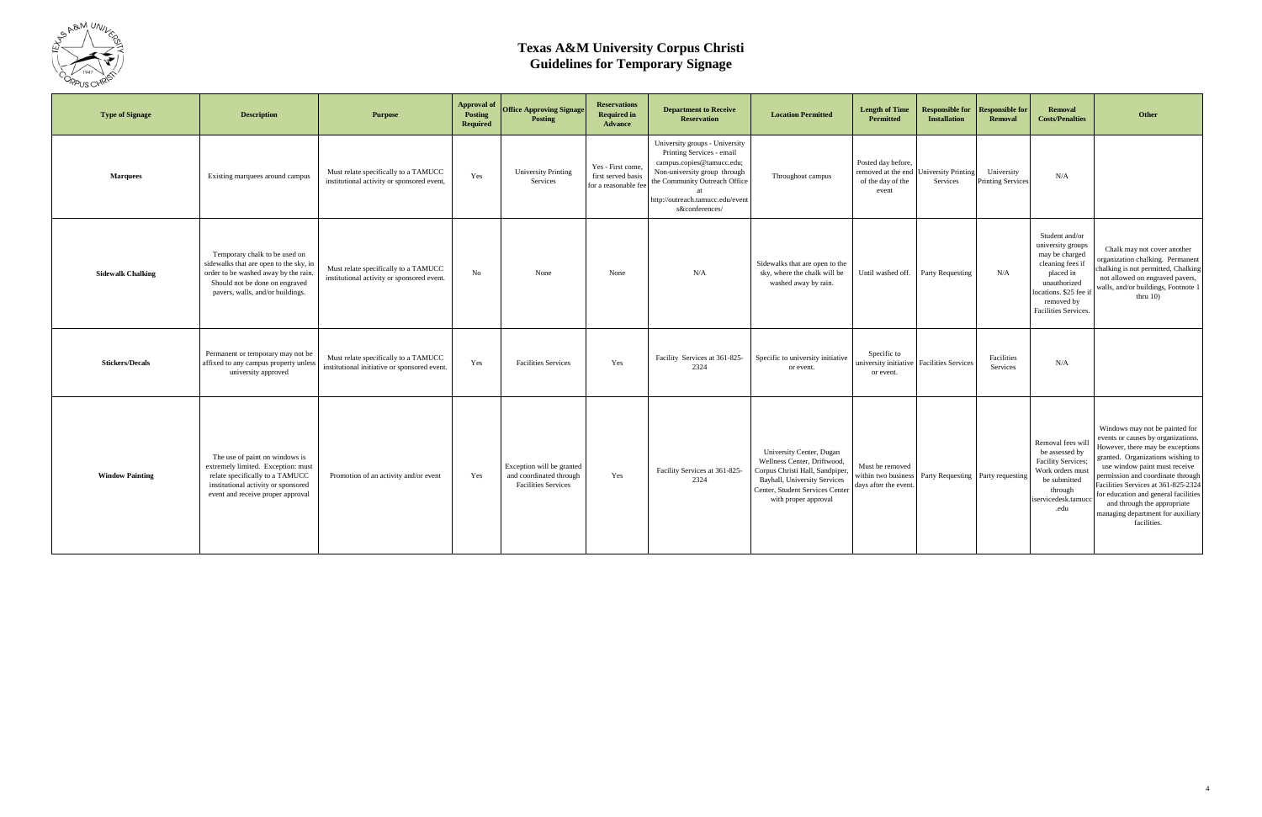

| <b>Type of Signage</b>   | <b>Description</b>                                                                                                                                                                    | <b>Purpose</b>                                                                       | <b>Approval of</b><br>Posting<br>Required | <b>Office Approving Signage</b><br>Posting                                         | <b>Reservations</b><br><b>Required in</b><br><b>Advance</b>     | <b>Department to Receive</b><br><b>Reservation</b>                                                                                                                                                              | <b>Location Permitted</b>                                                                                                                                                             | <b>Length of Time</b><br>Permitted                                     | <b>Responsible for</b><br><b>Installation</b> | <b>Responsible for</b><br><b>Removal</b> | <b>Removal</b><br><b>Costs/Penalties</b>                                                                                                                               | <b>Other</b>                                                                                                                                                                                                                                                                                                                                                                         |
|--------------------------|---------------------------------------------------------------------------------------------------------------------------------------------------------------------------------------|--------------------------------------------------------------------------------------|-------------------------------------------|------------------------------------------------------------------------------------|-----------------------------------------------------------------|-----------------------------------------------------------------------------------------------------------------------------------------------------------------------------------------------------------------|---------------------------------------------------------------------------------------------------------------------------------------------------------------------------------------|------------------------------------------------------------------------|-----------------------------------------------|------------------------------------------|------------------------------------------------------------------------------------------------------------------------------------------------------------------------|--------------------------------------------------------------------------------------------------------------------------------------------------------------------------------------------------------------------------------------------------------------------------------------------------------------------------------------------------------------------------------------|
| <b>Marquees</b>          | Existing marquees around campus                                                                                                                                                       | Must relate specifically to a TAMUCC<br>institutional activity or sponsored event,   | Yes                                       | <b>University Printing</b><br>Services                                             | Yes - First come,<br>first served basis<br>for a reasonable fee | University groups - University<br>Printing Services - email<br>campus.copies@tamucc.edu;<br>Non-university group through<br>the Community Outreach Office<br>http://outreach.tamucc.edu/event<br>s&conferences/ | Throughout campus                                                                                                                                                                     | Posted day before,<br>removed at the end<br>of the day of the<br>event | <b>University Printing</b><br>Services        | University<br><b>Printing Services</b>   | N/A                                                                                                                                                                    |                                                                                                                                                                                                                                                                                                                                                                                      |
| <b>Sidewalk Chalking</b> | Temporary chalk to be used on<br>sidewalks that are open to the sky, in<br>order to be washed away by the rain.<br>Should not be done on engraved<br>pavers, walls, and/or buildings. | Must relate specifically to a TAMUCC<br>institutional activity or sponsored event.   | No                                        | None                                                                               | None                                                            | N/A                                                                                                                                                                                                             | Sidewalks that are open to the<br>sky, where the chalk will be<br>washed away by rain.                                                                                                | Until washed off.                                                      | Party Requesting                              | N/A                                      | Student and/or<br>university groups<br>may be charged<br>cleaning fees if<br>placed in<br>unauthorized<br>locations. \$25 fee if<br>removed by<br>Facilities Services. | Chalk may not cover another<br>organization chalking. Permanent<br>chalking is not permitted, Chalking<br>not allowed on engraved pavers,<br>walls, and/or buildings, Footnote 1<br>thru $10$ )                                                                                                                                                                                      |
| <b>Stickers/Decals</b>   | Permanent or temporary may not be<br>affixed to any campus property unless<br>university approved                                                                                     | Must relate specifically to a TAMUCC<br>institutional initiative or sponsored event. | Yes                                       | <b>Facilities Services</b>                                                         | Yes                                                             | Facility Services at 361-825-<br>2324                                                                                                                                                                           | Specific to university initiative<br>or event.                                                                                                                                        | Specific to<br>university initiative Facilities Services<br>or event.  |                                               | Facilities<br>Services                   | N/A                                                                                                                                                                    |                                                                                                                                                                                                                                                                                                                                                                                      |
| <b>Window Painting</b>   | The use of paint on windows is<br>extremely limited. Exception: must<br>relate specifically to a TAMUCC<br>institutional activity or sponsored<br>event and receive proper approval   | Promotion of an activity and/or event                                                | Yes                                       | Exception will be granted<br>and coordinated through<br><b>Facilities Services</b> | Yes                                                             | Facility Services at 361-825-<br>2324                                                                                                                                                                           | University Center, Dugan<br>Wellness Center, Driftwood,<br>Corpus Christi Hall, Sandpiper,<br>Bayhall, University Services<br>Center, Student Services Center<br>with proper approval | Must be removed<br>within two business<br>days after the event         | Party Requesting Party requesting             |                                          | Removal fees wil<br>be assessed by<br>Facility Services;<br>Work orders must<br>be submitted<br>through<br>iservicedesk.tamuco<br>.edu                                 | Windows may not be painted for<br>events or causes by organizations<br>However, there may be exceptions<br>granted. Organizations wishing to<br>use window paint must receive<br>permission and coordinate through<br>Facilities Services at 361-825-2324<br>for education and general facilities<br>and through the appropriate<br>managing department for auxiliary<br>facilities. |